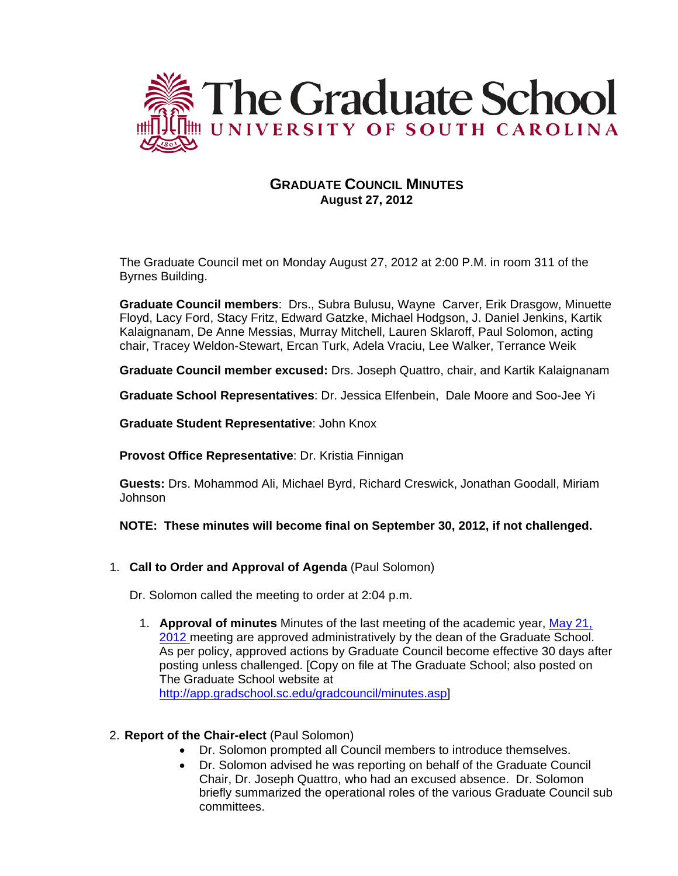

# **GRADUATE COUNCIL MINUTES August 27, 2012**

The Graduate Council met on Monday August 27, 2012 at 2:00 P.M. in room 311 of the Byrnes Building.

**Graduate Council members**: Drs., Subra Bulusu, Wayne Carver, Erik Drasgow, Minuette Floyd, Lacy Ford, Stacy Fritz, Edward Gatzke, Michael Hodgson, J. Daniel Jenkins, Kartik Kalaignanam, De Anne Messias, Murray Mitchell, Lauren Sklaroff, Paul Solomon, acting chair, Tracey Weldon-Stewart, Ercan Turk, Adela Vraciu, Lee Walker, Terrance Weik

**Graduate Council member excused:** Drs. Joseph Quattro, chair, and Kartik Kalaignanam

**Graduate School Representatives**: Dr. Jessica Elfenbein, Dale Moore and Soo-Jee Yi

**Graduate Student Representative**: John Knox

**Provost Office Representative**: Dr. Kristia Finnigan

**Guests:** Drs. Mohammod Ali, Michael Byrd, Richard Creswick, Jonathan Goodall, Miriam Johnson

### **NOTE: These minutes will become final on September 30, 2012, if not challenged.**

1. **Call to Order and Approval of Agenda** (Paul Solomon)

Dr. Solomon called the meeting to order at 2:04 p.m.

1. **Approval of minutes** Minutes of the last meeting of the academic year, [May 21,](http://app.gradschool.sc.edu/includes/filedownload-public.asp?location=E:\GMS\GRADCOUNCIL\2011\GCMinutes052112.pdf&file_name=GCMinutes052112.pdf)  [2012](http://app.gradschool.sc.edu/includes/filedownload-public.asp?location=E:\GMS\GRADCOUNCIL\2011\GCMinutes052112.pdf&file_name=GCMinutes052112.pdf) meeting are approved administratively by the dean of the Graduate School. As per policy, approved actions by Graduate Council become effective 30 days after posting unless challenged. [Copy on file at The Graduate School; also posted on The Graduate School website at [http://app.gradschool.sc.edu/gradcouncil/minutes.asp\]](http://app.gradschool.sc.edu/gradcouncil/minutes.asp)

### 2. **Report of the Chair-elect** (Paul Solomon)

- Dr. Solomon prompted all Council members to introduce themselves.
- Dr. Solomon advised he was reporting on behalf of the Graduate Council Chair, Dr. Joseph Quattro, who had an excused absence. Dr. Solomon briefly summarized the operational roles of the various Graduate Council sub committees.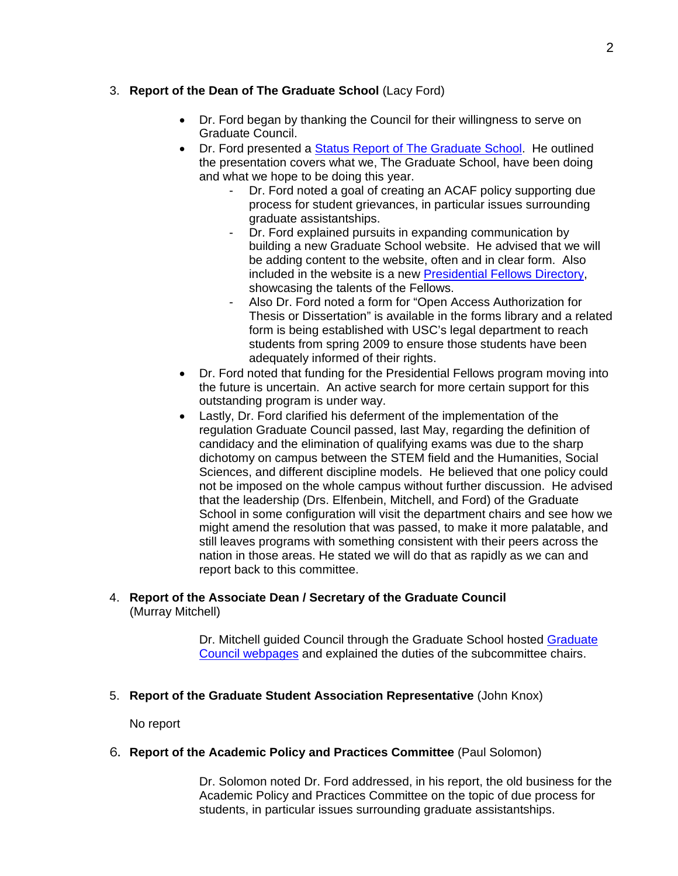# 3. **Report of the Dean of The Graduate School** (Lacy Ford)

- Dr. Ford began by thanking the Council for their willingness to serve on Graduate Council.
- Dr. Ford presented a [Status Report of The Graduate School.](https://app.gradschool.sc.edu/includes/filedownload-public.asp?location=E:\GMS\GRADCOUNCIL\2012\FordPwP.pdf&file_name=FordPwP.pdf) He outlined the presentation covers what we, The Graduate School, have been doing and what we hope to be doing this year.
	- Dr. Ford noted a goal of creating an ACAF policy supporting due process for student grievances, in particular issues surrounding graduate assistantships.
	- Dr. Ford explained pursuits in expanding communication by building a new Graduate School website. He advised that we will be adding content to the website, often and in clear form. Also included in the website is a new [Presidential Fellows Directory,](http://gradschool.sc.edu/presfellows/index.asp) showcasing the talents of the Fellows.
	- Also Dr. Ford noted a form for "Open Access Authorization for Thesis or Dissertation" is available in the forms library and a related form is being established with USC's legal department to reach students from spring 2009 to ensure those students have been adequately informed of their rights.
- Dr. Ford noted that funding for the Presidential Fellows program moving into the future is uncertain. An active search for more certain support for this outstanding program is under way.
- Lastly, Dr. Ford clarified his deferment of the implementation of the regulation Graduate Council passed, last May, regarding the definition of candidacy and the elimination of qualifying exams was due to the sharp dichotomy on campus between the STEM field and the Humanities, Social Sciences, and different discipline models. He believed that one policy could not be imposed on the whole campus without further discussion. He advised that the leadership (Drs. Elfenbein, Mitchell, and Ford) of the Graduate School in some configuration will visit the department chairs and see how we might amend the resolution that was passed, to make it more palatable, and still leaves programs with something consistent with their peers across the nation in those areas. He stated we will do that as rapidly as we can and report back to this committee.

### 4. **Report of the Associate Dean / Secretary of the Graduate Council** (Murray Mitchell)

Dr. Mitchell guided Council through the Graduate School hosted [Graduate](http://app.gradschool.sc.edu/gradcouncil/tracking_detail.asp?chart=Humanities&academic_year=2012)  [Council webpages](http://app.gradschool.sc.edu/gradcouncil/tracking_detail.asp?chart=Humanities&academic_year=2012) and explained the duties of the subcommittee chairs.

# 5. **Report of the Graduate Student Association Representative** (John Knox)

No report

### 6. **Report of the Academic Policy and Practices Committee** (Paul Solomon)

Dr. Solomon noted Dr. Ford addressed, in his report, the old business for the Academic Policy and Practices Committee on the topic of due process for students, in particular issues surrounding graduate assistantships.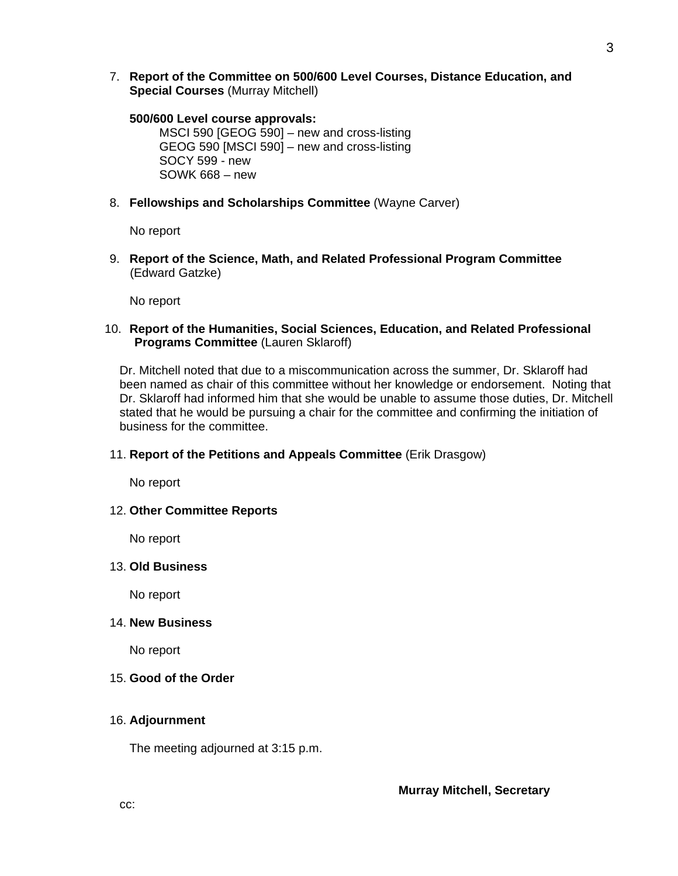7. **Report of the Committee on 500/600 Level Courses, Distance Education, and Special Courses** (Murray Mitchell)

### **500/600 Level course approvals:**

MSCI 590 [GEOG 590] – new and cross-listing GEOG 590 [MSCI 590] – new and cross-listing SOCY 599 - new SOWK 668 – new

8. **Fellowships and Scholarships Committee** (Wayne Carver)

No report

9. **Report of the Science, Math, and Related Professional Program Committee** (Edward Gatzke)

No report

10. **Report of the Humanities, Social Sciences, Education, and Related Professional Programs Committee** (Lauren Sklaroff)

Dr. Mitchell noted that due to a miscommunication across the summer, Dr. Sklaroff had been named as chair of this committee without her knowledge or endorsement. Noting that Dr. Sklaroff had informed him that she would be unable to assume those duties, Dr. Mitchell stated that he would be pursuing a chair for the committee and confirming the initiation of business for the committee.

### 11. **Report of the Petitions and Appeals Committee** (Erik Drasgow)

No report

### 12. **Other Committee Reports**

No report

### 13. **Old Business**

No report

### 14. **New Business**

No report

### 15. **Good of the Order**

### 16. **Adjournment**

The meeting adjourned at 3:15 p.m.